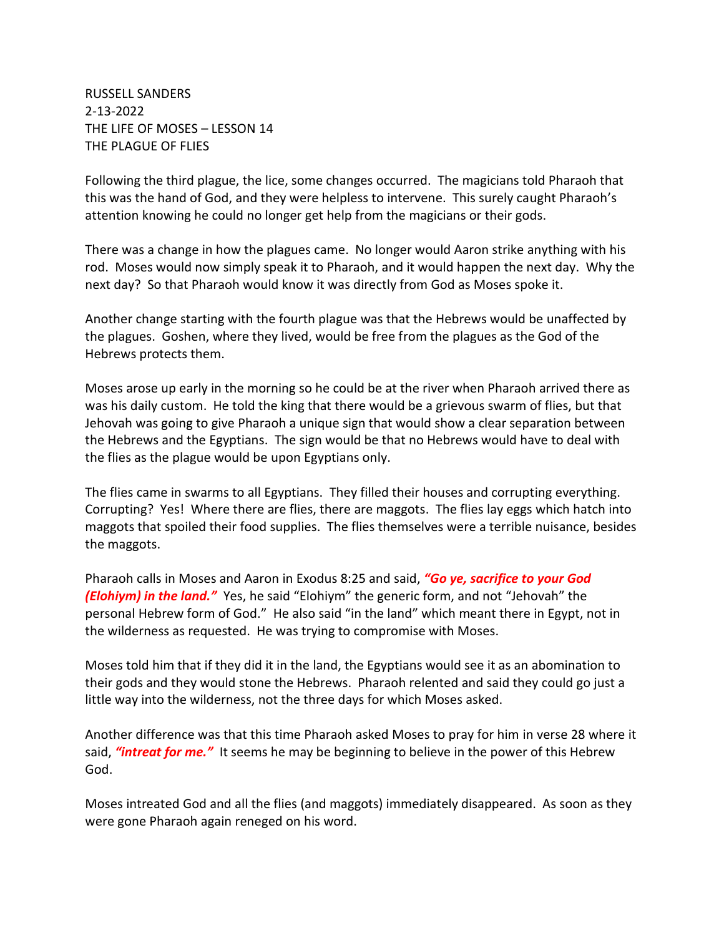RUSSELL SANDERS 2-13-2022 THE LIFE OF MOSES – LESSON 14 THE PLAGUE OF FLIES

Following the third plague, the lice, some changes occurred. The magicians told Pharaoh that this was the hand of God, and they were helpless to intervene. This surely caught Pharaoh's attention knowing he could no longer get help from the magicians or their gods.

There was a change in how the plagues came. No longer would Aaron strike anything with his rod. Moses would now simply speak it to Pharaoh, and it would happen the next day. Why the next day? So that Pharaoh would know it was directly from God as Moses spoke it.

Another change starting with the fourth plague was that the Hebrews would be unaffected by the plagues. Goshen, where they lived, would be free from the plagues as the God of the Hebrews protects them.

Moses arose up early in the morning so he could be at the river when Pharaoh arrived there as was his daily custom. He told the king that there would be a grievous swarm of flies, but that Jehovah was going to give Pharaoh a unique sign that would show a clear separation between the Hebrews and the Egyptians. The sign would be that no Hebrews would have to deal with the flies as the plague would be upon Egyptians only.

The flies came in swarms to all Egyptians. They filled their houses and corrupting everything. Corrupting? Yes! Where there are flies, there are maggots. The flies lay eggs which hatch into maggots that spoiled their food supplies. The flies themselves were a terrible nuisance, besides the maggots.

Pharaoh calls in Moses and Aaron in Exodus 8:25 and said, *"Go ye, sacrifice to your God (Elohiym) in the land."* Yes, he said "Elohiym" the generic form, and not "Jehovah" the personal Hebrew form of God." He also said "in the land" which meant there in Egypt, not in the wilderness as requested. He was trying to compromise with Moses.

Moses told him that if they did it in the land, the Egyptians would see it as an abomination to their gods and they would stone the Hebrews. Pharaoh relented and said they could go just a little way into the wilderness, not the three days for which Moses asked.

Another difference was that this time Pharaoh asked Moses to pray for him in verse 28 where it said, *"intreat for me."* It seems he may be beginning to believe in the power of this Hebrew God.

Moses intreated God and all the flies (and maggots) immediately disappeared. As soon as they were gone Pharaoh again reneged on his word.